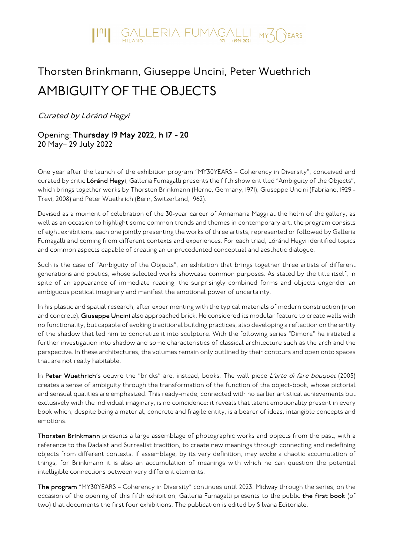# $\text{min}_{\text{min}}$  GALLERIA FUMAGALLI MY

### Thorsten Brinkmann, Giuseppe Uncini, Peter Wuethrich AMBIGUITY OF THE OBJECTS

Curated by Lóránd Hegyi

Opening: Thursday 19 May 2022, h 17 - 20 20 May– 29 July 2022

One year after the launch of the exhibition program "MY30YEARS – Coherency in Diversity", conceived and curated by critic Lóránd Hegyi, Galleria Fumagalli presents the fifth show entitled "Ambiguity of the Objects", which brings together works by Thorsten Brinkmann (Herne, Germany, 1971), Giuseppe Uncini (Fabriano, 1929 - Trevi, 2008) and Peter Wuethrich (Bern, Switzerland, 1962).

Devised as a moment of celebration of the 30-year career of Annamaria Maggi at the helm of the gallery, as well as an occasion to highlight some common trends and themes in contemporary art, the program consists of eight exhibitions, each one jointly presenting the works of three artists, represented or followed by Galleria Fumagalli and coming from different contexts and experiences. For each triad, Lóránd Hegyi identified topics and common aspects capable of creating an unprecedented conceptual and aesthetic dialogue.

Such is the case of "Ambiguity of the Objects", an exhibition that brings together three artists of different generations and poetics, whose selected works showcase common purposes. As stated by the title itself, in spite of an appearance of immediate reading, the surprisingly combined forms and objects engender an ambiguous poetical imaginary and manifest the emotional power of uncertainty.

In his plastic and spatial research, after experimenting with the typical materials of modern construction (iron and concrete), Giuseppe Uncini also approached brick. He considered its modular feature to create walls with no functionality, but capable of evoking traditional building practices, also developing a reflection on the entity of the shadow that led him to concretize it into sculpture. With the following series "Dimore" he initiated a further investigation into shadow and some characteristics of classical architecture such as the arch and the perspective. In these architectures, the volumes remain only outlined by their contours and open onto spaces that are not really habitable.

In Peter Wuethrich's oeuvre the "bricks" are, instead, books. The wall piece L'arte di fare bouquet (2005) creates a sense of ambiguity through the transformation of the function of the object-book, whose pictorial and sensual qualities are emphasized. This ready-made, connected with no earlier artistical achievements but exclusively with the individual imaginary, is no coincidence: it reveals that latent emotionality present in every book which, despite being a material, concrete and fragile entity, is a bearer of ideas, intangible concepts and emotions.

Thorsten Brinkmann presents a large assemblage of photographic works and objects from the past, with a reference to the Dadaist and Surrealist tradition, to create new meanings through connecting and redefining objects from different contexts. If assemblage, by its very definition, may evoke a chaotic accumulation of things, for Brinkmann it is also an accumulation of meanings with which he can question the potential intelligible connections between very different elements.

The program "MY30YEARS – Coherency in Diversity" continues until 2023. Midway through the series, on the occasion of the opening of this fifth exhibition, Galleria Fumagalli presents to the public the first book (of two) that documents the first four exhibitions. The publication is edited by Silvana Editoriale.